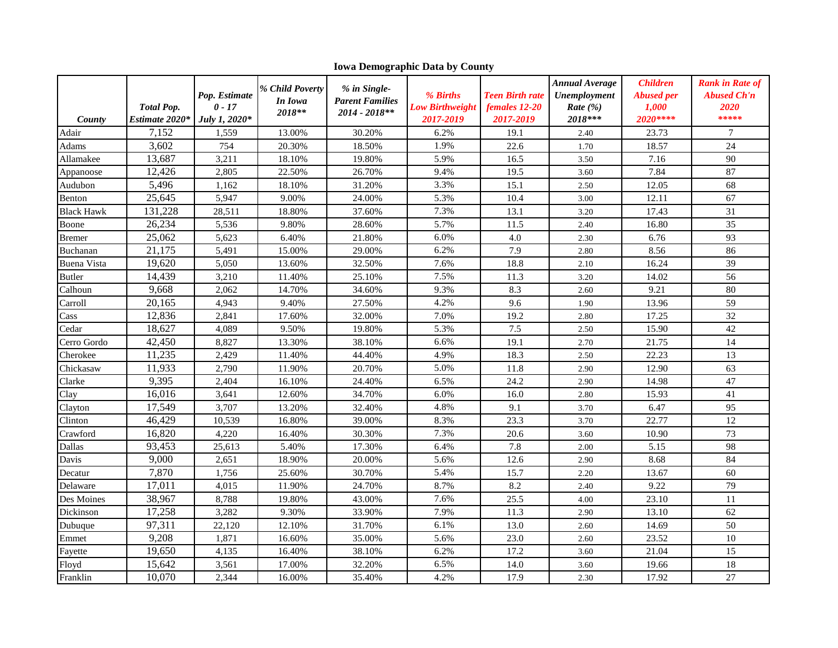| County             | <b>Total Pop.</b><br>Estimate 2020* | Pop. Estimate<br>$0 - 17$<br>July 1, 2020* | % Child Poverty<br>In Iowa<br>2018** | % in Single-<br><b>Parent Families</b><br>2014 - 2018** | % Births<br><b>Low Birthweight</b><br>2017-2019 | <b>Teen Birth rate</b><br>females 12-20<br>2017-2019 | <b>Annual Average</b><br>Unemployment<br>Rate $(\%)$<br>2018*** | <b>Children</b><br><b>Abused per</b><br>1,000<br>2020**** | <b>Rank in Rate of</b><br><b>Abused Ch'n</b><br>2020<br>***** |
|--------------------|-------------------------------------|--------------------------------------------|--------------------------------------|---------------------------------------------------------|-------------------------------------------------|------------------------------------------------------|-----------------------------------------------------------------|-----------------------------------------------------------|---------------------------------------------------------------|
| Adair              | 7,152                               | 1,559                                      | 13.00%                               | 30.20%                                                  | 6.2%                                            | 19.1                                                 | 2.40                                                            | 23.73                                                     | $\tau$                                                        |
| Adams              | 3,602                               | 754                                        | 20.30%                               | 18.50%                                                  | 1.9%                                            | 22.6                                                 | 1.70                                                            | 18.57                                                     | 24                                                            |
| Allamakee          | 13,687                              | 3,211                                      | 18.10%                               | 19.80%                                                  | 5.9%                                            | 16.5                                                 | 3.50                                                            | 7.16                                                      | 90                                                            |
| Appanoose          | 12,426                              | 2,805                                      | 22.50%                               | 26.70%                                                  | 9.4%                                            | 19.5                                                 | 3.60                                                            | 7.84                                                      | 87                                                            |
| Audubon            | 5,496                               | 1.162                                      | 18.10%                               | 31.20%                                                  | 3.3%                                            | 15.1                                                 | 2.50                                                            | 12.05                                                     | 68                                                            |
| Benton             | 25,645                              | 5,947                                      | 9.00%                                | 24.00%                                                  | 5.3%                                            | 10.4                                                 | 3.00                                                            | 12.11                                                     | 67                                                            |
| <b>Black Hawk</b>  | 131,228                             | 28,511                                     | 18.80%                               | 37.60%                                                  | 7.3%                                            | 13.1                                                 | 3.20                                                            | 17.43                                                     | 31                                                            |
| Boone              | 26,234                              | 5,536                                      | 9.80%                                | 28.60%                                                  | 5.7%                                            | 11.5                                                 | 2.40                                                            | 16.80                                                     | 35                                                            |
| Bremer             | 25,062                              | 5,623                                      | 6.40%                                | 21.80%                                                  | 6.0%                                            | 4.0                                                  | 2.30                                                            | 6.76                                                      | 93                                                            |
| Buchanan           | 21,175                              | 5,491                                      | 15.00%                               | 29.00%                                                  | 6.2%                                            | 7.9                                                  | 2.80                                                            | 8.56                                                      | 86                                                            |
| <b>Buena Vista</b> | 19,620                              | 5,050                                      | 13.60%                               | 32.50%                                                  | 7.6%                                            | 18.8                                                 | 2.10                                                            | 16.24                                                     | 39                                                            |
| Butler             | 14,439                              | 3,210                                      | 11.40%                               | 25.10%                                                  | 7.5%                                            | 11.3                                                 | 3.20                                                            | 14.02                                                     | 56                                                            |
| Calhoun            | 9,668                               | 2,062                                      | 14.70%                               | 34.60%                                                  | 9.3%                                            | 8.3                                                  | 2.60                                                            | 9.21                                                      | 80                                                            |
| Carroll            | 20,165                              | 4,943                                      | 9.40%                                | 27.50%                                                  | 4.2%                                            | 9.6                                                  | 1.90                                                            | 13.96                                                     | 59                                                            |
| Cass               | 12,836                              | 2,841                                      | 17.60%                               | 32.00%                                                  | 7.0%                                            | 19.2                                                 | 2.80                                                            | 17.25                                                     | 32                                                            |
| Cedar              | 18,627                              | 4,089                                      | 9.50%                                | 19.80%                                                  | 5.3%                                            | 7.5                                                  | 2.50                                                            | 15.90                                                     | 42                                                            |
| Cerro Gordo        | 42,450                              | 8,827                                      | 13.30%                               | 38.10%                                                  | 6.6%                                            | 19.1                                                 | 2.70                                                            | 21.75                                                     | 14                                                            |
| Cherokee           | 11,235                              | 2,429                                      | 11.40%                               | 44.40%                                                  | 4.9%                                            | 18.3                                                 | 2.50                                                            | 22.23                                                     | 13                                                            |
| Chickasaw          | 11,933                              | 2,790                                      | 11.90%                               | 20.70%                                                  | 5.0%                                            | 11.8                                                 | 2.90                                                            | 12.90                                                     | 63                                                            |
| Clarke             | 9,395                               | 2,404                                      | 16.10%                               | 24.40%                                                  | 6.5%                                            | 24.2                                                 | 2.90                                                            | 14.98                                                     | 47                                                            |
| Clay               | 16,016                              | 3,641                                      | 12.60%                               | 34.70%                                                  | 6.0%                                            | 16.0                                                 | 2.80                                                            | 15.93                                                     | 41                                                            |
| Clayton            | 17,549                              | 3,707                                      | 13.20%                               | 32.40%                                                  | 4.8%                                            | 9.1                                                  | 3.70                                                            | 6.47                                                      | 95                                                            |
| Clinton            | 46,429                              | 10,539                                     | 16.80%                               | 39.00%                                                  | 8.3%                                            | 23.3                                                 | 3.70                                                            | 22.77                                                     | 12                                                            |
| Crawford           | 16,820                              | 4,220                                      | 16.40%                               | 30.30%                                                  | 7.3%                                            | 20.6                                                 | 3.60                                                            | 10.90                                                     | 73                                                            |
| Dallas             | 93,453                              | 25,613                                     | 5.40%                                | 17.30%                                                  | 6.4%                                            | 7.8                                                  | 2.00                                                            | 5.15                                                      | 98                                                            |
| Davis              | 9,000                               | 2,651                                      | 18.90%                               | 20.00%                                                  | 5.6%                                            | 12.6                                                 | 2.90                                                            | 8.68                                                      | 84                                                            |
| Decatur            | 7,870                               | 1,756                                      | 25.60%                               | 30.70%                                                  | 5.4%                                            | 15.7                                                 | 2.20                                                            | 13.67                                                     | 60                                                            |
| Delaware           | 17,011                              | 4,015                                      | 11.90%                               | 24.70%                                                  | 8.7%                                            | 8.2                                                  | 2.40                                                            | 9.22                                                      | 79                                                            |
| Des Moines         | 38,967                              | 8,788                                      | 19.80%                               | 43.00%                                                  | 7.6%                                            | 25.5                                                 | 4.00                                                            | 23.10                                                     | 11                                                            |
| Dickinson          | 17,258                              | 3,282                                      | 9.30%                                | 33.90%                                                  | 7.9%                                            | 11.3                                                 | 2.90                                                            | 13.10                                                     | 62                                                            |
| Dubuque            | 97,311                              | 22,120                                     | 12.10%                               | 31.70%                                                  | 6.1%                                            | 13.0                                                 | 2.60                                                            | 14.69                                                     | 50                                                            |
| Emmet              | 9,208                               | 1,871                                      | 16.60%                               | 35.00%                                                  | 5.6%                                            | 23.0                                                 | 2.60                                                            | 23.52                                                     | 10                                                            |
| Fayette            | 19,650                              | 4,135                                      | 16.40%                               | 38.10%                                                  | 6.2%                                            | 17.2                                                 | 3.60                                                            | 21.04                                                     | 15                                                            |
| Floyd              | 15,642                              | 3,561                                      | 17.00%                               | 32.20%                                                  | 6.5%                                            | 14.0                                                 | 3.60                                                            | 19.66                                                     | 18                                                            |
| Franklin           | 10,070                              | 2.344                                      | 16.00%                               | 35.40%                                                  | 4.2%                                            | 17.9                                                 | 2.30                                                            | 17.92                                                     | 27                                                            |

**Iowa Demographic Data by County**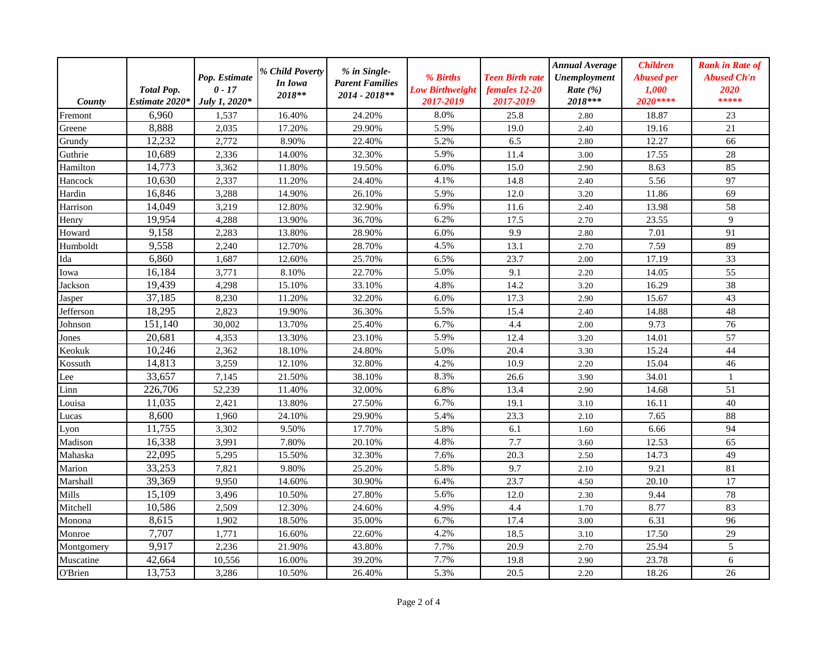| County         | <b>Total Pop.</b><br>Estimate 2020* | Pop. Estimate<br>$0 - 17$<br>July 1, 2020* | % Child Poverty<br>In Iowa<br>2018** | % in Single-<br><b>Parent Families</b><br>2014 - 2018** | % Births<br><b>Low Birthweight</b><br>2017-2019 | <b>Teen Birth rate</b><br>females 12-20<br>2017-2019 | <b>Annual Average</b><br><b>Unemployment</b><br>Rate $(\% )$<br>2018*** | <b>Children</b><br><b>Abused per</b><br>1,000<br>2020 **** | <b>Rank in Rate of</b><br><b>Abused Ch'n</b><br>2020<br>***** |
|----------------|-------------------------------------|--------------------------------------------|--------------------------------------|---------------------------------------------------------|-------------------------------------------------|------------------------------------------------------|-------------------------------------------------------------------------|------------------------------------------------------------|---------------------------------------------------------------|
| Fremont        | 6,960                               | 1,537                                      | 16.40%                               | 24.20%                                                  | 8.0%                                            | 25.8                                                 | 2.80                                                                    | 18.87                                                      | 23                                                            |
| Greene         | 8,888                               | 2,035                                      | 17.20%                               | 29.90%                                                  | 5.9%                                            | 19.0                                                 | 2.40                                                                    | 19.16                                                      | 21                                                            |
| Grundy         | 12,232                              | 2,772                                      | 8.90%                                | 22.40%                                                  | 5.2%                                            | 6.5                                                  | 2.80                                                                    | 12.27                                                      | 66                                                            |
| Guthrie        | 10,689                              | 2,336                                      | 14.00%                               | 32.30%                                                  | 5.9%                                            | 11.4                                                 | 3.00                                                                    | 17.55                                                      | 28                                                            |
| Hamilton       | 14,773                              | 3,362                                      | 11.80%                               | 19.50%                                                  | 6.0%                                            | 15.0                                                 | 2.90                                                                    | 8.63                                                       | 85                                                            |
| Hancock        | 10,630                              | 2,337                                      | 11.20%                               | 24.40%                                                  | 4.1%                                            | 14.8                                                 | 2.40                                                                    | 5.56                                                       | 97                                                            |
| Hardin         | 16,846                              | 3,288                                      | 14.90%                               | 26.10%                                                  | 5.9%                                            | 12.0                                                 | 3.20                                                                    | 11.86                                                      | 69                                                            |
| Harrison       | 14,049                              | 3,219                                      | 12.80%                               | 32.90%                                                  | 6.9%                                            | 11.6                                                 | 2.40                                                                    | 13.98                                                      | 58                                                            |
| Henry          | 19,954                              | 4,288                                      | 13.90%                               | 36.70%                                                  | 6.2%                                            | 17.5                                                 | 2.70                                                                    | 23.55                                                      | 9                                                             |
| Howard         | 9,158                               | 2,283                                      | 13.80%                               | 28.90%                                                  | 6.0%                                            | 9.9                                                  | 2.80                                                                    | 7.01                                                       | 91                                                            |
| Humboldt       | 9,558                               | 2,240                                      | 12.70%                               | 28.70%                                                  | 4.5%                                            | 13.1                                                 | 2.70                                                                    | 7.59                                                       | 89                                                            |
| Ida            | 6,860                               | 1.687                                      | 12.60%                               | 25.70%                                                  | 6.5%                                            | 23.7                                                 | 2.00                                                                    | 17.19                                                      | 33                                                            |
| Iowa           | 16,184                              | 3,771                                      | 8.10%                                | 22.70%                                                  | 5.0%                                            | 9.1                                                  | 2.20                                                                    | 14.05                                                      | 55                                                            |
| Jackson        | 19,439                              | 4,298                                      | 15.10%                               | 33.10%                                                  | 4.8%                                            | 14.2                                                 | 3.20                                                                    | 16.29                                                      | 38                                                            |
| Jasper         | 37,185                              | 8,230                                      | 11.20%                               | 32.20%                                                  | 6.0%                                            | 17.3                                                 | 2.90                                                                    | 15.67                                                      | 43                                                            |
| Jefferson      | 18,295                              | 2,823                                      | 19.90%                               | 36.30%                                                  | 5.5%                                            | 15.4                                                 | 2.40                                                                    | 14.88                                                      | 48                                                            |
| Johnson        | 151,140                             | 30,002                                     | 13.70%                               | 25.40%                                                  | 6.7%                                            | 4.4                                                  | 2.00                                                                    | 9.73                                                       | 76                                                            |
| Jones          | 20,681                              | 4,353                                      | 13.30%                               | 23.10%                                                  | 5.9%                                            | 12.4                                                 | 3.20                                                                    | 14.01                                                      | 57                                                            |
| Keokuk         | 10,246                              | 2,362                                      | 18.10%                               | 24.80%                                                  | 5.0%                                            | 20.4                                                 | 3.30                                                                    | 15.24                                                      | 44                                                            |
| Kossuth        | 14,813                              | 3,259                                      | 12.10%                               | 32.80%                                                  | 4.2%                                            | 10.9                                                 | 2.20                                                                    | 15.04                                                      | 46                                                            |
| Lee            | 33,657                              | 7,145                                      | 21.50%                               | 38.10%                                                  | 8.3%                                            | 26.6                                                 | 3.90                                                                    | 34.01                                                      | $\mathbf{1}$                                                  |
| Linn           | 226,706                             | 52,239                                     | 11.40%                               | 32.00%                                                  | 6.8%                                            | 13.4                                                 | 2.90                                                                    | 14.68                                                      | 51                                                            |
| Louisa         | 11.035                              | 2,421                                      | 13.80%                               | 27.50%                                                  | 6.7%                                            | 19.1                                                 | 3.10                                                                    | 16.11                                                      | 40                                                            |
| Lucas          | 8,600                               | 1,960                                      | 24.10%                               | 29.90%                                                  | 5.4%                                            | 23.3                                                 | 2.10                                                                    | 7.65                                                       | 88                                                            |
| Lyon           | 11,755                              | 3,302                                      | 9.50%                                | 17.70%                                                  | 5.8%                                            | 6.1                                                  | 1.60                                                                    | 6.66                                                       | 94                                                            |
| Madison        | 16,338                              | 3,991                                      | 7.80%                                | 20.10%                                                  | 4.8%                                            | 7.7                                                  | 3.60                                                                    | 12.53                                                      | 65                                                            |
| Mahaska        | 22,095                              | 5,295                                      | 15.50%                               | 32.30%                                                  | 7.6%                                            | 20.3                                                 | 2.50                                                                    | 14.73                                                      | 49                                                            |
| Marion         | 33,253                              | 7,821                                      | 9.80%                                | 25.20%                                                  | 5.8%                                            | 9.7                                                  | 2.10                                                                    | 9.21                                                       | 81                                                            |
| Marshall       | 39,369                              | 9,950                                      | 14.60%                               | 30.90%                                                  | 6.4%                                            | 23.7                                                 | 4.50                                                                    | 20.10                                                      | 17                                                            |
| Mills          | 15,109                              | 3,496                                      | 10.50%                               | 27.80%                                                  | 5.6%                                            | 12.0                                                 | 2.30                                                                    | 9.44                                                       | 78                                                            |
| Mitchell       | 10,586                              | 2,509                                      | 12.30%                               | 24.60%                                                  | 4.9%                                            | 4.4                                                  | 1.70                                                                    | 8.77                                                       | 83                                                            |
| Monona         | 8,615                               | 1,902                                      | 18.50%                               | 35.00%                                                  | 6.7%                                            | 17.4                                                 | 3.00                                                                    | 6.31                                                       | 96                                                            |
| Monroe         | 7,707                               | 1,771                                      | 16.60%                               | 22.60%                                                  | 4.2%                                            | 18.5                                                 | 3.10                                                                    | 17.50                                                      | 29                                                            |
| Montgomery     | 9,917                               | 2,236                                      | 21.90%                               | 43.80%                                                  | 7.7%                                            | 20.9                                                 | 2.70                                                                    | 25.94                                                      | 5                                                             |
| Muscatine      | 42,664                              | 10,556                                     | 16.00%                               | 39.20%                                                  | 7.7%                                            | 19.8                                                 | 2.90                                                                    | 23.78                                                      | 6                                                             |
| <b>O'Brien</b> | 13,753                              | 3,286                                      | 10.50%                               | 26.40%                                                  | 5.3%                                            | 20.5                                                 | 2.20                                                                    | 18.26                                                      | 26                                                            |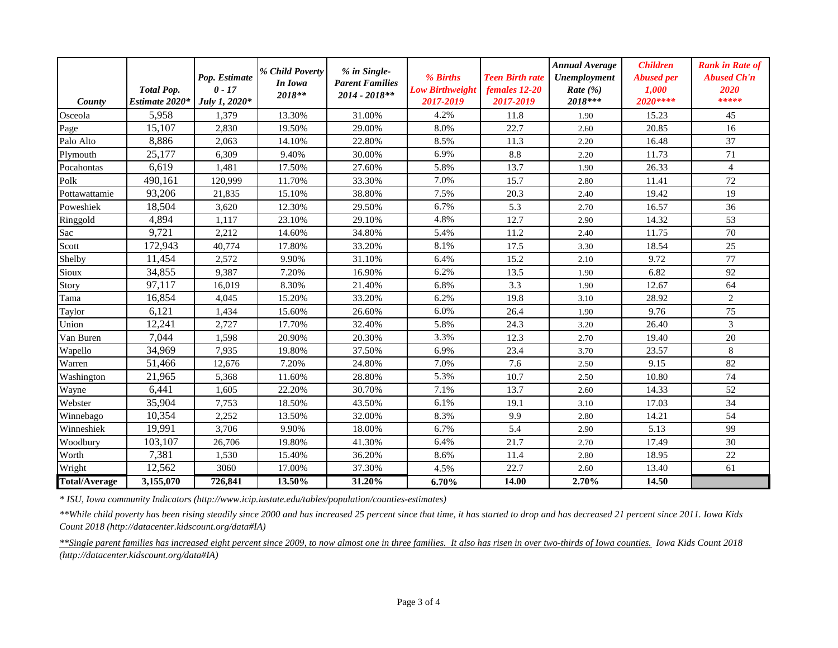| County               | <b>Total Pop.</b><br>Estimate 2020* | Pop. Estimate<br>$0 - 17$<br>July 1, 2020* | % Child Poverty<br>In Iowa<br>2018** | % in Single-<br><b>Parent Families</b><br>$2014 - 2018**$ | % Births<br><b>Low Birthweight</b><br>2017-2019 | <b>Teen Birth rate</b><br>females 12-20<br>2017-2019 | <b>Annual Average</b><br><b>Unemployment</b><br>Rate $(\% )$<br>2018*** | <b>Children</b><br><b>Abused per</b><br>1.000<br>2020**** | <b>Rank in Rate of</b><br><b>Abused Ch'n</b><br>2020<br>***** |
|----------------------|-------------------------------------|--------------------------------------------|--------------------------------------|-----------------------------------------------------------|-------------------------------------------------|------------------------------------------------------|-------------------------------------------------------------------------|-----------------------------------------------------------|---------------------------------------------------------------|
| Osceola              | 5,958                               | 1,379                                      | 13.30%                               | 31.00%                                                    | 4.2%                                            | 11.8                                                 | 1.90                                                                    | 15.23                                                     | 45                                                            |
| Page                 | 15,107                              | 2,830                                      | 19.50%                               | 29.00%                                                    | 8.0%                                            | 22.7                                                 | 2.60                                                                    | 20.85                                                     | 16                                                            |
| Palo Alto            | 8,886                               | 2,063                                      | 14.10%                               | 22.80%                                                    | 8.5%                                            | 11.3                                                 | 2.20                                                                    | 16.48                                                     | 37                                                            |
| Plymouth             | 25,177                              | 6,309                                      | 9.40%                                | 30.00%                                                    | 6.9%                                            | 8.8                                                  | 2.20                                                                    | 11.73                                                     | 71                                                            |
| Pocahontas           | 6,619                               | 1,481                                      | 17.50%                               | 27.60%                                                    | 5.8%                                            | 13.7                                                 | 1.90                                                                    | 26.33                                                     | $\overline{4}$                                                |
| Polk                 | 490,161                             | 120,999                                    | 11.70%                               | 33.30%                                                    | 7.0%                                            | 15.7                                                 | 2.80                                                                    | 11.41                                                     | 72                                                            |
| Pottawattamie        | 93,206                              | 21,835                                     | 15.10%                               | 38.80%                                                    | 7.5%                                            | 20.3                                                 | 2.40                                                                    | 19.42                                                     | 19                                                            |
| Poweshiek            | 18,504                              | 3,620                                      | 12.30%                               | 29.50%                                                    | 6.7%                                            | 5.3                                                  | 2.70                                                                    | 16.57                                                     | 36                                                            |
| Ringgold             | 4,894                               | 1.117                                      | 23.10%                               | 29.10%                                                    | 4.8%                                            | 12.7                                                 | 2.90                                                                    | 14.32                                                     | 53                                                            |
| Sac                  | 9,721                               | 2,212                                      | 14.60%                               | 34.80%                                                    | 5.4%                                            | 11.2                                                 | 2.40                                                                    | 11.75                                                     | 70                                                            |
| Scott                | 172,943                             | 40,774                                     | 17.80%                               | 33.20%                                                    | 8.1%                                            | 17.5                                                 | 3.30                                                                    | 18.54                                                     | 25                                                            |
| Shelby               | 11,454                              | 2,572                                      | 9.90%                                | 31.10%                                                    | 6.4%                                            | 15.2                                                 | 2.10                                                                    | 9.72                                                      | 77                                                            |
| Sioux                | 34,855                              | 9,387                                      | 7.20%                                | 16.90%                                                    | 6.2%                                            | 13.5                                                 | 1.90                                                                    | 6.82                                                      | 92                                                            |
| Story                | 97,117                              | 16,019                                     | 8.30%                                | 21.40%                                                    | 6.8%                                            | 3.3                                                  | 1.90                                                                    | 12.67                                                     | 64                                                            |
| Tama                 | 16,854                              | 4.045                                      | 15.20%                               | 33.20%                                                    | 6.2%                                            | 19.8                                                 | 3.10                                                                    | 28.92                                                     | $\overline{2}$                                                |
| Taylor               | 6,121                               | 1,434                                      | 15.60%                               | 26.60%                                                    | 6.0%                                            | 26.4                                                 | 1.90                                                                    | 9.76                                                      | 75                                                            |
| Union                | 12,241                              | 2.727                                      | 17.70%                               | 32.40%                                                    | 5.8%                                            | 24.3                                                 | 3.20                                                                    | 26.40                                                     | 3                                                             |
| Van Buren            | 7,044                               | 1,598                                      | 20.90%                               | 20.30%                                                    | 3.3%                                            | 12.3                                                 | 2.70                                                                    | 19.40                                                     | 20                                                            |
| Wapello              | 34,969                              | 7,935                                      | 19.80%                               | 37.50%                                                    | 6.9%                                            | 23.4                                                 | 3.70                                                                    | 23.57                                                     | $\,8\,$                                                       |
| Warren               | 51,466                              | 12,676                                     | 7.20%                                | 24.80%                                                    | 7.0%                                            | 7.6                                                  | 2.50                                                                    | 9.15                                                      | 82                                                            |
| Washington           | 21,965                              | 5,368                                      | 11.60%                               | 28.80%                                                    | 5.3%                                            | 10.7                                                 | 2.50                                                                    | 10.80                                                     | 74                                                            |
| Wayne                | 6,441                               | 1.605                                      | 22.20%                               | 30.70%                                                    | 7.1%                                            | 13.7                                                 | 2.60                                                                    | 14.33                                                     | 52                                                            |
| Webster              | 35,904                              | 7,753                                      | 18.50%                               | 43.50%                                                    | 6.1%                                            | 19.1                                                 | 3.10                                                                    | 17.03                                                     | 34                                                            |
| Winnebago            | 10,354                              | 2,252                                      | 13.50%                               | 32.00%                                                    | 8.3%                                            | 9.9                                                  | 2.80                                                                    | 14.21                                                     | 54                                                            |
| Winneshiek           | 19,991                              | 3,706                                      | 9.90%                                | 18.00%                                                    | 6.7%                                            | 5.4                                                  | 2.90                                                                    | 5.13                                                      | 99                                                            |
| Woodbury             | 103,107                             | 26,706                                     | 19.80%                               | 41.30%                                                    | 6.4%                                            | 21.7                                                 | 2.70                                                                    | 17.49                                                     | 30                                                            |
| Worth                | 7,381                               | 1,530                                      | 15.40%                               | 36.20%                                                    | 8.6%                                            | 11.4                                                 | 2.80                                                                    | 18.95                                                     | 22                                                            |
| Wright               | 12,562                              | 3060                                       | 17.00%                               | 37.30%                                                    | 4.5%                                            | 22.7                                                 | 2.60                                                                    | 13.40                                                     | 61                                                            |
| <b>Total/Average</b> | 3,155,070                           | 726,841                                    | 13.50%                               | 31.20%                                                    | 6.70%                                           | 14.00                                                | 2.70%                                                                   | 14.50                                                     |                                                               |

*\* ISU, Iowa community Indicators (http://www.icip.iastate.edu/tables/population/counties-estimates)*

*\*\*While child poverty has been rising steadily since 2000 and has increased 25 percent since that time, it has started to drop and has decreased 21 percent since 2011. Iowa Kids Count 2018 (http://datacenter.kidscount.org/data#IA)*

*\*\*Single parent families has increased eight percent since 2009, to now almost one in three families. It also has risen in over two-thirds of Iowa counties. Iowa Kids Count 2018 (http://datacenter.kidscount.org/data#IA)*